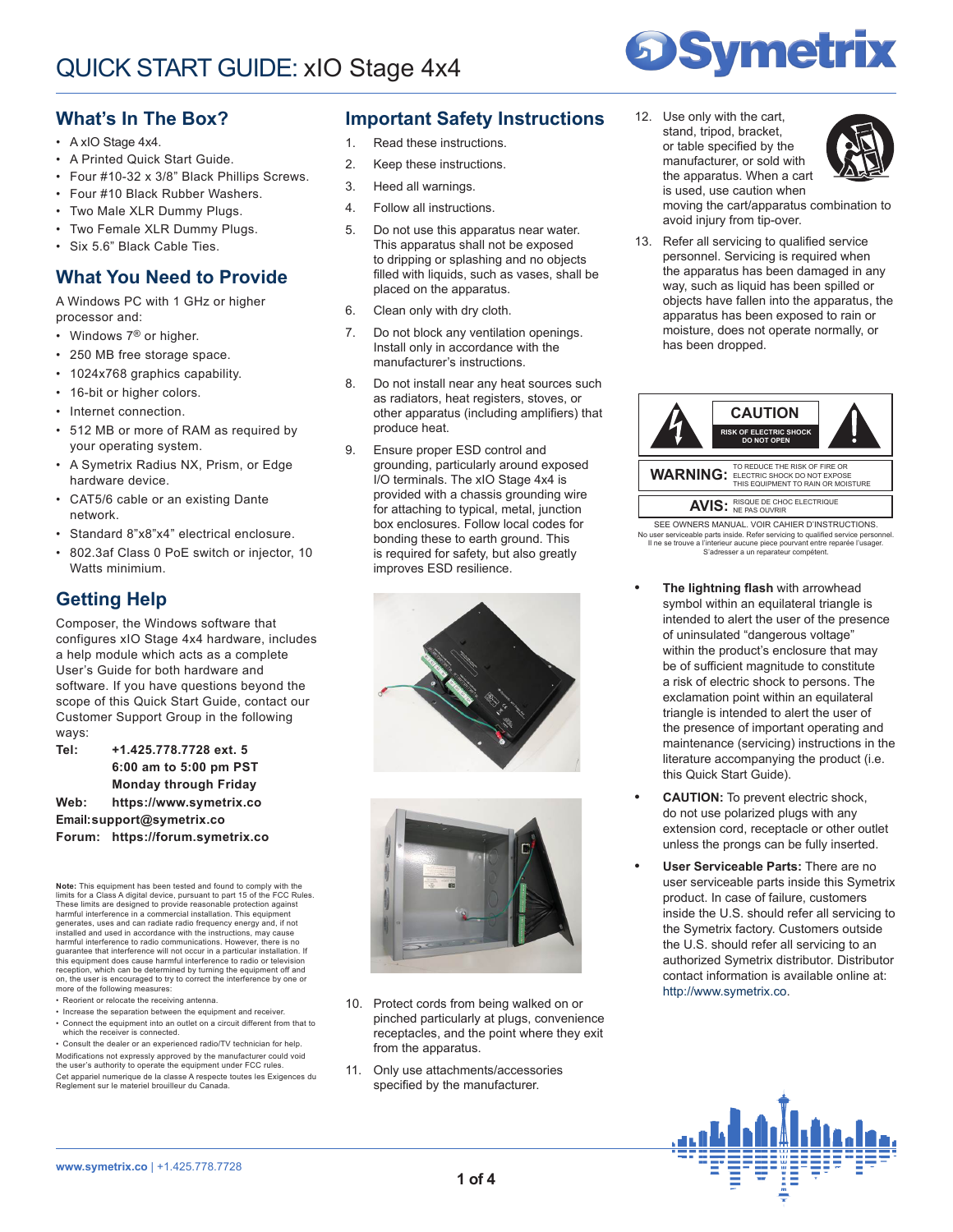

## **What's In The Box?**

- A xIO Stage 4x4.
- A Printed Quick Start Guide.
- Four #10-32 x 3/8" Black Phillips Screws.
- Four #10 Black Rubber Washers.
- Two Male XLR Dummy Plugs.
- Two Female XLR Dummy Plugs.
- Six 5.6" Black Cable Ties.

### **What You Need to Provide**

A Windows PC with 1 GHz or higher processor and:

- Windows 7<sup>®</sup> or higher.
- 250 MB free storage space.
- 1024x768 graphics capability.
- 16-bit or higher colors.
- Internet connection.
- 512 MB or more of RAM as required by your operating system.
- A Symetrix Radius NX, Prism, or Edge hardware device.
- CAT5/6 cable or an existing Dante network.
- Standard 8"x8"x4" electrical enclosure.
- 802.3af Class 0 PoE switch or injector, 10 Watts minimium.

# **Getting Help**

Composer, the Windows software that configures xIO Stage 4x4 hardware, includes a help module which acts as a complete User's Guide for both hardware and software. If you have questions beyond the scope of this Quick Start Guide, contact our Customer Support Group in the following ways:

**Tel: +1.425.778.7728 ext. 5 6:00 am to 5:00 pm PST Monday through Friday Web: https://www.symetrix.co Email:support@symetrix.co Forum: https://forum.symetrix.co**

**Note:** This equipment has been tested and found to comply with the limits for a Class A digital device, pursuant to part 15 of the FCC Rules. These limits are designed to provide reasonable protection against harmful interference in a commercial installation. This equipm generates, uses and can radiate radio frequency energy and, if not installed and used in accordance with the instructions, may cause harmful interference to radio communications. However, there is no guarantee that interference will not occur in a particular installation. If<br>this equipment does cause harmful interference to radio or television<br>reception, which can be determined by turning the equipment off and on, the user is encouraged to try to correct the interference by one or more of the following measures:

- Reorient or relocate the receiving antenna.
- Increase the separation between the equipment and receiver. • Connect the equipment into an outlet on a circuit different from that to which the receiver is connected.

• Consult the dealer or an experienced radio/TV technician for help. Modifications not expressly approved by the manufacturer could void the user's authority to operate the equipment under FCC rules. Cet appariel numerique de la classe A respecte toutes les Exigences du Reglement sur le materiel brouilleur du Canada.

## **Important Safety Instructions**

- 1. Read these instructions.
- 2. Keep these instructions.
- 3. Heed all warnings.
- 4. Follow all instructions.
- 5. Do not use this apparatus near water. This apparatus shall not be exposed to dripping or splashing and no objects filled with liquids, such as vases, shall be placed on the apparatus.
- 6. Clean only with dry cloth.
- 7. Do not block any ventilation openings. Install only in accordance with the manufacturer's instructions.
- 8. Do not install near any heat sources such as radiators, heat registers, stoves, or other apparatus (including amplifiers) that produce heat.
- 9. Ensure proper ESD control and grounding, particularly around exposed I/O terminals. The xIO Stage 4x4 is provided with a chassis grounding wire for attaching to typical, metal, junction box enclosures. Follow local codes for bonding these to earth ground. This is required for safety, but also greatly improves ESD resilience.





- 10. Protect cords from being walked on or pinched particularly at plugs, convenience receptacles, and the point where they exit from the apparatus.
- 11. Only use attachments/accessories specified by the manufacturer.

12. Use only with the cart, stand, tripod, bracket, or table specified by the manufacturer, or sold with the apparatus. When a cart is used, use caution when



moving the cart/apparatus combination to avoid injury from tip-over.

13. Refer all servicing to qualified service personnel. Servicing is required when the apparatus has been damaged in any way, such as liquid has been spilled or objects have fallen into the apparatus, the apparatus has been exposed to rain or moisture, does not operate normally, or has been dropped.



Il ne se trouve a l'interieur aucune piece pourvant entre reparée l'usager. S'adresser a un reparateur compétent. No user serviceable parts inside. Refer servicing to qualified service personnel.

- **• The lightning flash** with arrowhead symbol within an equilateral triangle is intended to alert the user of the presence of uninsulated "dangerous voltage" within the product's enclosure that may be of sufficient magnitude to constitute a risk of electric shock to persons. The exclamation point within an equilateral triangle is intended to alert the user of the presence of important operating and maintenance (servicing) instructions in the literature accompanying the product (i.e. this Quick Start Guide).
- **• CAUTION:** To prevent electric shock, do not use polarized plugs with any extension cord, receptacle or other outlet unless the prongs can be fully inserted.
- **• User Serviceable Parts:** There are no user serviceable parts inside this Symetrix product. In case of failure, customers inside the U.S. should refer all servicing to the Symetrix factory. Customers outside the U.S. should refer all servicing to an authorized Symetrix distributor. Distributor contact information is available online at: http://www.symetrix.co.

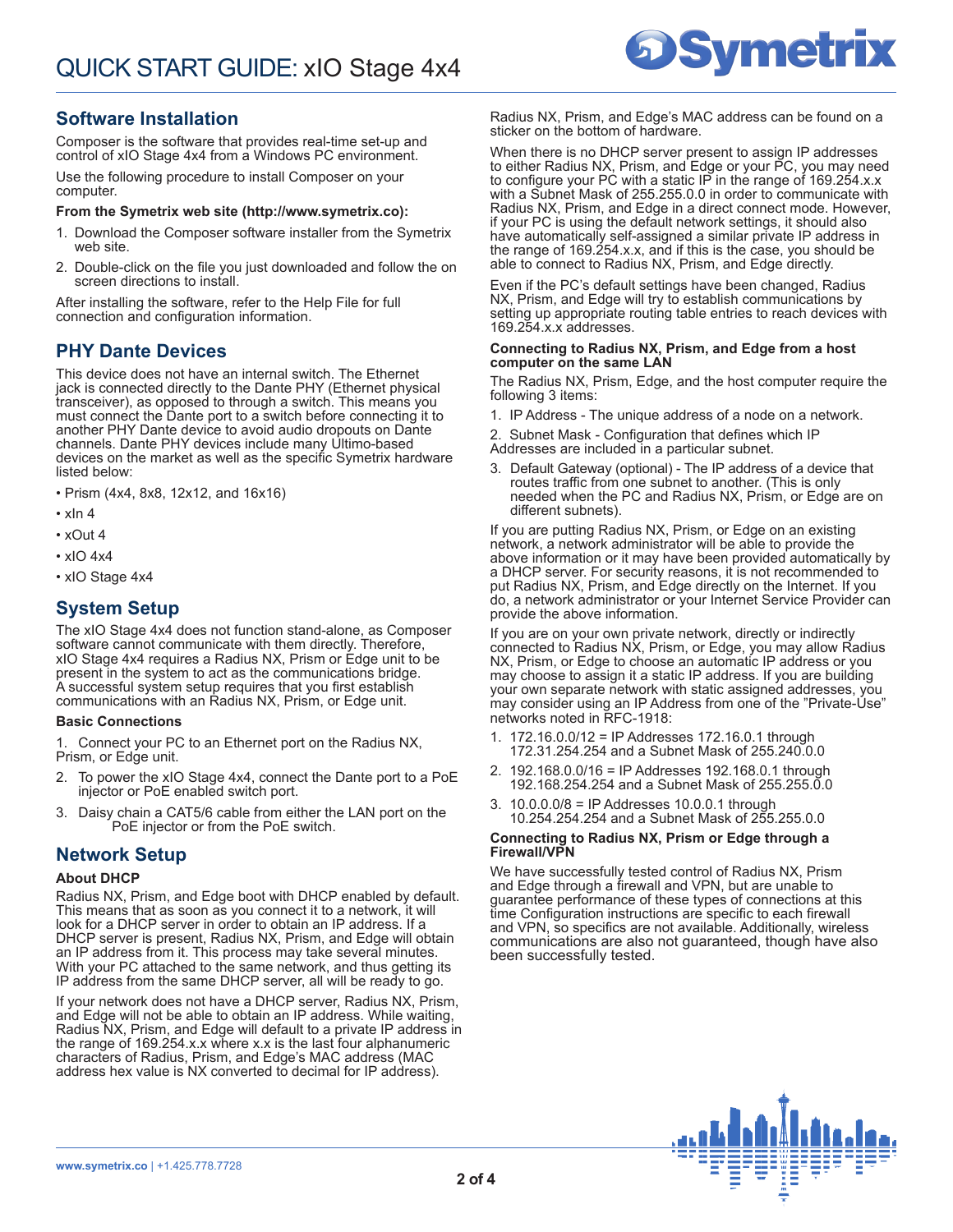### **Software Installation**

Composer is the software that provides real-time set-up and control of xIO Stage 4x4 from a Windows PC environment.

Use the following procedure to install Composer on your computer.

#### **From the Symetrix web site (http://www.symetrix.co):**

- 1. Download the Composer software installer from the Symetrix web site.
- 2. Double-click on the file you just downloaded and follow the on screen directions to install.

After installing the software, refer to the Help File for full connection and configuration information.

### **PHY Dante Devices**

This device does not have an internal switch. The Ethernet jack is connected directly to the Dante PHY (Ethernet physical transceiver), as opposed to through a switch. This means you must connect the Dante port to a switch before connecting it to another PHY Dante device to avoid audio dropouts on Dante channels. Dante PHY devices include many Ultimo-based devices on the market as well as the specific Symetrix hardware listed below:

- Prism (4x4, 8x8, 12x12, and 16x16)
- $\cdot$  xln 4
- xOut 4
- xIO 4x4
- xIO Stage 4x4

### **System Setup**

The xIO Stage 4x4 does not function stand-alone, as Composer software cannot communicate with them directly. Therefore, xIO Stage 4x4 requires a Radius NX, Prism or Edge unit to be present in the system to act as the communications bridge. A successful system setup requires that you first establish communications with an Radius NX, Prism, or Edge unit.

#### **Basic Connections**

1. Connect your PC to an Ethernet port on the Radius NX, Prism, or Edge unit.

- To power the xIO Stage 4x4, connect the Dante port to a PoE injector or PoE enabled switch port.
- 3. Daisy chain a CAT5/6 cable from either the LAN port on the PoE injector or from the PoE switch.

### **Network Setup**

#### **About DHCP**

Radius NX, Prism, and Edge boot with DHCP enabled by default. This means that as soon as you connect it to a network, it will look for a DHCP server in order to obtain an IP address. If a DHCP server is present, Radius NX, Prism, and Edge will obtain an IP address from it. This process may take several minutes. With your PC attached to the same network, and thus getting its IP address from the same DHCP server, all will be ready to go.

If your network does not have a DHCP server, Radius NX, Prism, and Edge will not be able to obtain an IP address. While waiting, Radius NX, Prism, and Edge will default to a private IP address in the range of 169.254.x.x where x.x is the last four alphanumeric characters of Radius, Prism, and Edge's MAC address (MAC address hex value is NX converted to decimal for IP address).

Radius NX, Prism, and Edge's MAC address can be found on a sticker on the bottom of hardware.

**Symetrix** 

When there is no DHCP server present to assign IP addresses to either Radius NX, Prism, and Edge or your PC, you may need to configure your PC with a static IP in the range of 169.254.x.x with a Subnet Mask of 255.255.0.0 in order to communicate with Radius NX, Prism, and Edge in a direct connect mode. However, if your PC is using the default network settings, it should also have automatically self-assigned a similar private IP address in the range of 169.254.x.x, and if this is the case, you should be able to connect to Radius NX, Prism, and Edge directly.

Even if the PC's default settings have been changed, Radius NX, Prism, and Edge will try to establish communications by setting up appropriate routing table entries to reach devices with 169.254.x.x addresses.

#### **Connecting to Radius NX, Prism, and Edge from a host computer on the same LAN**

The Radius NX, Prism, Edge, and the host computer require the following 3 items:

1. IP Address - The unique address of a node on a network.

2. Subnet Mask - Configuration that defines which IP Addresses are included in a particular subnet.

3. Default Gateway (optional) - The IP address of a device that routes traffic from one subnet to another. (This is only needed when the PC and Radius NX, Prism, or Edge are on different subnets).

If you are putting Radius NX, Prism, or Edge on an existing network, a network administrator will be able to provide the above information or it may have been provided automatically by a DHCP server. For security reasons, it is not recommended to put Radius NX, Prism, and Edge directly on the Internet. If you do, a network administrator or your Internet Service Provider can provide the above information.

If you are on your own private network, directly or indirectly connected to Radius NX, Prism, or Edge, you may allow Radius NX, Prism, or Edge to choose an automatic IP address or you may choose to assign it a static IP address. If you are building your own separate network with static assigned addresses, you may consider using an IP Address from one of the "Private-Use" networks noted in RFC-1918:

- 172.16.0.0/12 = IP Addresses 172.16.0.1 through 172.31.254.254 and a Subnet Mask of 255.240.0.0
- 2. 192.168.0.0/16 = IP Addresses 192.168.0.1 through 192.168.254.254 and a Subnet Mask of 255.255.0.0
- 3. 10.0.0.0/8 = IP Addresses 10.0.0.1 through 10.254.254.254 and a Subnet Mask of 255.255.0.0

#### **Connecting to Radius NX, Prism or Edge through a Firewall/VPN**

We have successfully tested control of Radius NX, Prism and Edge through a firewall and VPN, but are unable to guarantee performance of these types of connections at this time Configuration instructions are specific to each firewall and VPN, so specifics are not available. Additionally, wireless communications are also not guaranteed, though have also been successfully tested.

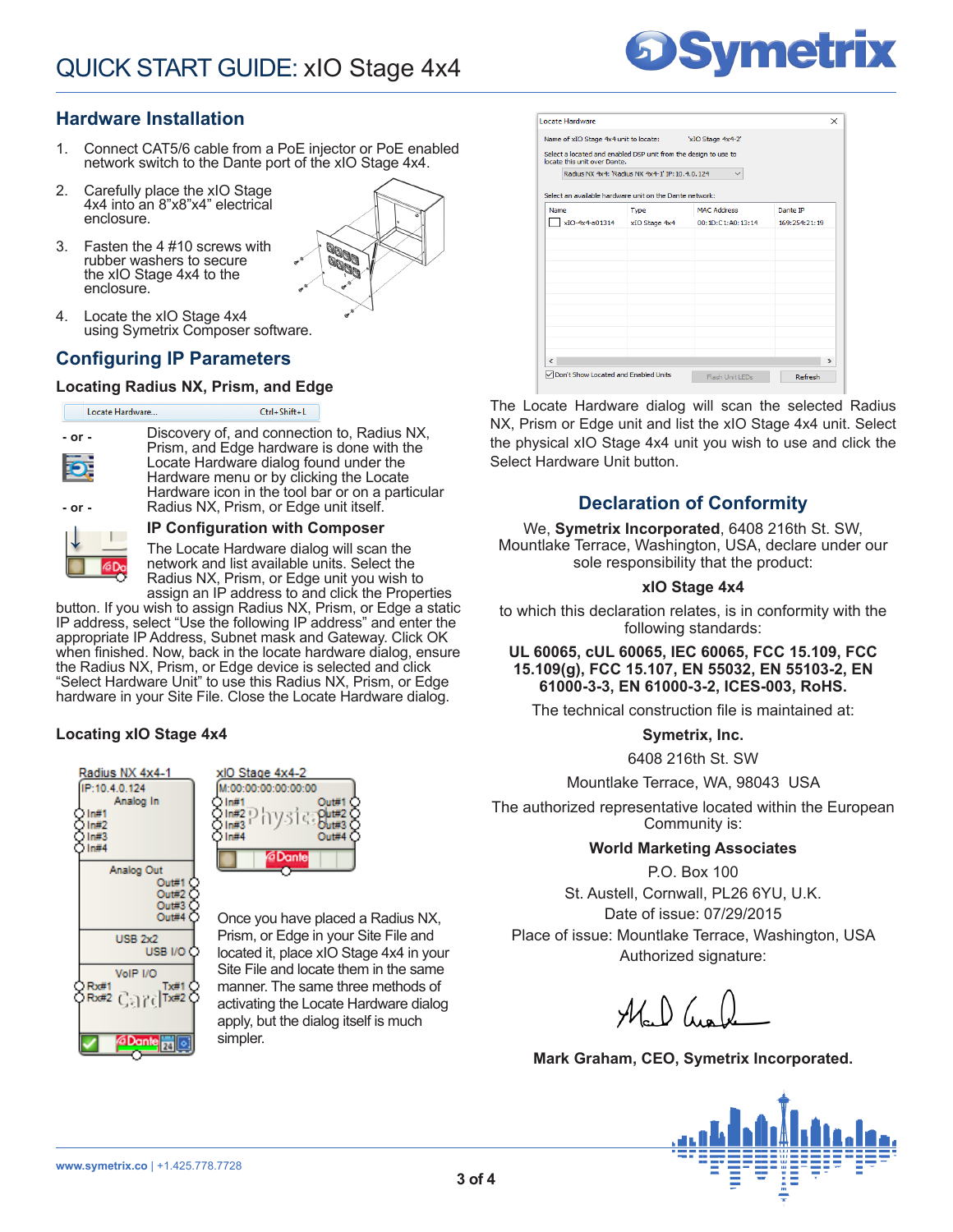## **Hardware Installation**

- 1. Connect CAT5/6 cable from a PoE injector or PoE enabled network switch to the Dante port of the xIO Stage 4x4.
- 2. Carefully place the xIO Stage 4x4 into an 8"x8"x4" electrical enclosure.
- 3. Fasten the 4 #10 screws with rubber washers to secure the xIO Stage 4x4 to the enclosure.



4. Locate the xIO Stage 4x4 using Symetrix Composer software.

### **Configuring IP Parameters**

### **Locating Radius NX, Prism, and Edge**



### **IP Configuration with Composer**

The Locate Hardware dialog will scan the network and list available units. Select the Radius NX, Prism, or Edge unit you wish to assign an IP address to and click the Properties

button. If you wish to assign Radius NX, Prism, or Edge a static IP address, select "Use the following IP address" and enter the appropriate IP Address, Subnet mask and Gateway. Click OK when finished. Now, back in the locate hardware dialog, ensure the Radius NX, Prism, or Edge device is selected and click "Select Hardware Unit" to use this Radius NX, Prism, or Edge hardware in your Site File. Close the Locate Hardware dialog.

### **Locating xIO Stage 4x4**





Once you have placed a Radius NX, Prism, or Edge in your Site File and located it, place xIO Stage 4x4 in your Site File and locate them in the same manner. The same three methods of activating the Locate Hardware dialog apply, but the dialog itself is much simpler.



| locate this unit over Dante.                            | Select a located and enabled DSP unit from the design to use to |                    |               |
|---------------------------------------------------------|-----------------------------------------------------------------|--------------------|---------------|
|                                                         | Radius NX 4x4: 'Radius NX 4x4-1' IP: 10.4.0.124                 |                    |               |
| Select an available hardware unit on the Dante network: |                                                                 |                    |               |
| Name                                                    | <b>Type</b>                                                     | <b>MAC Address</b> | Dante IP      |
| xIO-4x4-a01314                                          | xIO Stage 4x4                                                   | 00:1D:C1:A0:13:14  | 169:254:21:19 |
|                                                         |                                                                 |                    |               |
|                                                         |                                                                 |                    |               |
|                                                         |                                                                 |                    |               |
|                                                         |                                                                 |                    |               |
|                                                         |                                                                 |                    |               |
|                                                         |                                                                 |                    |               |
|                                                         |                                                                 |                    |               |
|                                                         |                                                                 |                    |               |
|                                                         |                                                                 |                    |               |

The Locate Hardware dialog will scan the selected Radius NX, Prism or Edge unit and list the xIO Stage 4x4 unit. Select the physical xIO Stage 4x4 unit you wish to use and click the Select Hardware Unit button.

# **Declaration of Conformity**

We, **Symetrix Incorporated**, 6408 216th St. SW, Mountlake Terrace, Washington, USA, declare under our sole responsibility that the product:

### **xIO Stage 4x4**

to which this declaration relates, is in conformity with the following standards:

### **UL 60065, cUL 60065, IEC 60065, FCC 15.109, FCC 15.109(g), FCC 15.107, EN 55032, EN 55103-2, EN 61000-3-3, EN 61000-3-2, ICES-003, RoHS.**

The technical construction file is maintained at:

**Symetrix, Inc.**

6408 216th St. SW

Mountlake Terrace, WA, 98043 USA

The authorized representative located within the European Community is:

### **World Marketing Associates**

P.O. Box 100

St. Austell, Cornwall, PL26 6YU, U.K. Date of issue: 07/29/2015 Place of issue: Mountlake Terrace, Washington, USA

Authorized signature:

 $\mathcal{M}_{\circ}$  ) (us)

**Mark Graham, CEO, Symetrix Incorporated.**